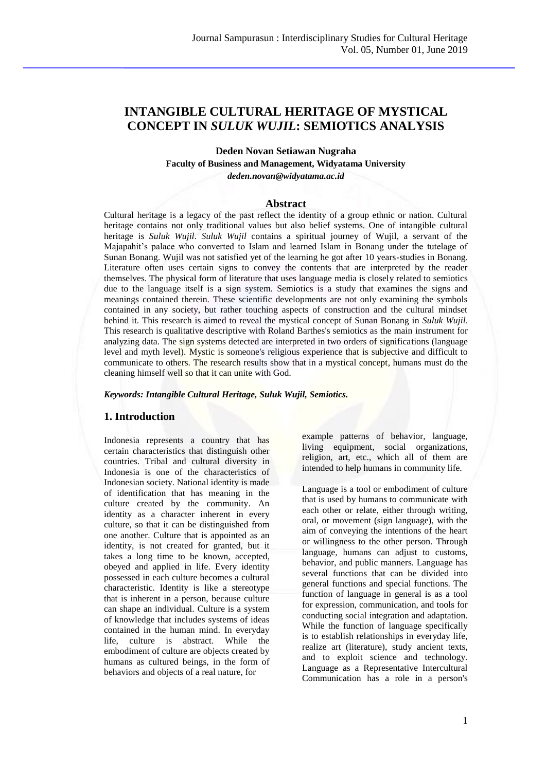# **INTANGIBLE CULTURAL HERITAGE OF MYSTICAL CONCEPT IN** *SULUK WUJIL***: SEMIOTICS ANALYSIS**

**Deden Novan Setiawan Nugraha**

**Faculty of Business and Management, Widyatama University**

*deden.novan@widyatama.ac.id*

#### **Abstract**

Cultural heritage is a legacy of the past reflect the identity of a group ethnic or nation. Cultural heritage contains not only traditional values but also belief systems. One of intangible cultural heritage is *Suluk Wujil*. *Suluk Wujil* contains a spiritual journey of Wujil, a servant of the Majapahit's palace who converted to Islam and learned Islam in Bonang under the tutelage of Sunan Bonang. Wujil was not satisfied yet of the learning he got after 10 years-studies in Bonang. Literature often uses certain signs to convey the contents that are interpreted by the reader themselves. The physical form of literature that uses language media is closely related to semiotics due to the language itself is a sign system. Semiotics is a study that examines the signs and meanings contained therein. These scientific developments are not only examining the symbols contained in any society, but rather touching aspects of construction and the cultural mindset behind it. This research is aimed to reveal the mystical concept of Sunan Bonang in *Suluk Wujil*. This research is qualitative descriptive with Roland Barthes's semiotics as the main instrument for analyzing data. The sign systems detected are interpreted in two orders of significations (language level and myth level). Mystic is someone's religious experience that is subjective and difficult to communicate to others. The research results show that in a mystical concept*,* humans must do the cleaning himself well so that it can unite with God*.*

### *Keywords: Intangible Cultural Heritage, Suluk Wujil, Semiotics.*

## **1. Introduction**

Indonesia represents a country that has certain characteristics that distinguish other countries. Tribal and cultural diversity in Indonesia is one of the characteristics of Indonesian society. National identity is made of identification that has meaning in the culture created by the community. An identity as a character inherent in every culture, so that it can be distinguished from one another. Culture that is appointed as an identity, is not created for granted, but it takes a long time to be known, accepted, obeyed and applied in life. Every identity possessed in each culture becomes a cultural characteristic. Identity is like a stereotype that is inherent in a person, because culture can shape an individual. Culture is a system of knowledge that includes systems of ideas contained in the human mind. In everyday life, culture is abstract. While the embodiment of culture are objects created by humans as cultured beings, in the form of behaviors and objects of a real nature, for

example patterns of behavior, language, living equipment, social organizations, religion, art, etc., which all of them are intended to help humans in community life.

Language is a tool or embodiment of culture that is used by humans to communicate with each other or relate, either through writing, oral, or movement (sign language), with the aim of conveying the intentions of the heart or willingness to the other person. Through language, humans can adjust to customs, behavior, and public manners. Language has several functions that can be divided into general functions and special functions. The function of language in general is as a tool for expression, communication, and tools for conducting social integration and adaptation. While the function of language specifically is to establish relationships in everyday life, realize art (literature), study ancient texts, and to exploit science and technology. Language as a Representative Intercultural Communication has a role in a person's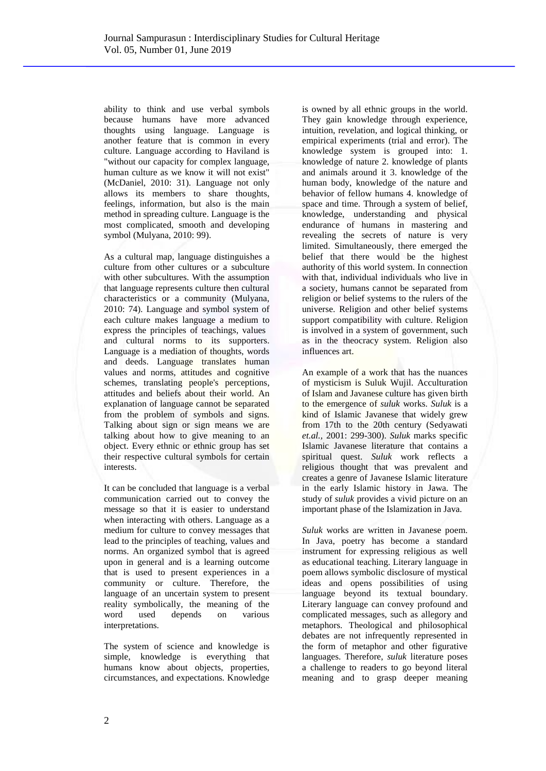ability to think and use verbal symbols because humans have more advanced thoughts using language. Language is another feature that is common in every culture. Language according to Haviland is "without our capacity for complex language, human culture as we know it will not exist" (McDaniel, 2010: 31). Language not only allows its members to share thoughts, feelings, information, but also is the main method in spreading culture. Language is the most complicated, smooth and developing symbol (Mulyana, 2010: 99).

As a cultural map, language distinguishes a culture from other cultures or a subculture with other subcultures. With the assumption that language represents culture then cultural characteristics or a community (Mulyana, 2010: 74). Language and symbol system of each culture makes language a medium to express the principles of teachings, values and cultural norms to its supporters. Language is a mediation of thoughts, words and deeds. Language translates human values and norms, attitudes and cognitive schemes, translating people's perceptions, attitudes and beliefs about their world. An explanation of language cannot be separated from the problem of symbols and signs. Talking about sign or sign means we are talking about how to give meaning to an object. Every ethnic or ethnic group has set their respective cultural symbols for certain interests.

It can be concluded that language is a verbal communication carried out to convey the message so that it is easier to understand when interacting with others. Language as a medium for culture to convey messages that lead to the principles of teaching, values and norms. An organized symbol that is agreed upon in general and is a learning outcome that is used to present experiences in a community or culture. Therefore, the language of an uncertain system to present reality symbolically, the meaning of the word used depends on various interpretations.

The system of science and knowledge is simple, knowledge is everything that humans know about objects, properties, circumstances, and expectations. Knowledge is owned by all ethnic groups in the world. They gain knowledge through experience, intuition, revelation, and logical thinking, or empirical experiments (trial and error). The knowledge system is grouped into: 1. knowledge of nature 2. knowledge of plants and animals around it 3. knowledge of the human body, knowledge of the nature and behavior of fellow humans 4. knowledge of space and time. Through a system of belief, knowledge, understanding and physical endurance of humans in mastering and revealing the secrets of nature is very limited. Simultaneously, there emerged the belief that there would be the highest authority of this world system. In connection with that, individual individuals who live in a society, humans cannot be separated from religion or belief systems to the rulers of the universe. Religion and other belief systems support compatibility with culture. Religion is involved in a system of government, such as in the theocracy system. Religion also influences art.

An example of a work that has the nuances of mysticism is Suluk Wujil. Acculturation of Islam and Javanese culture has given birth to the emergence of *suluk* works. *Suluk* is a kind of Islamic Javanese that widely grew from 17th to the 20th century (Sedyawati *et.al.,* 2001: 299-300). *Suluk* marks specific Islamic Javanese literature that contains a spiritual quest. *Suluk* work reflects a religious thought that was prevalent and creates a genre of Javanese Islamic literature in the early Islamic history in Jawa. The study of *suluk* provides a vivid picture on an important phase of the Islamization in Java.

*Suluk* works are written in Javanese poem. In Java, poetry has become a standard instrument for expressing religious as well as educational teaching. Literary language in poem allows symbolic disclosure of mystical ideas and opens possibilities of using language beyond its textual boundary. Literary language can convey profound and complicated messages, such as allegory and metaphors. Theological and philosophical debates are not infrequently represented in the form of metaphor and other figurative languages. Therefore, *suluk* literature poses a challenge to readers to go beyond literal meaning and to grasp deeper meaning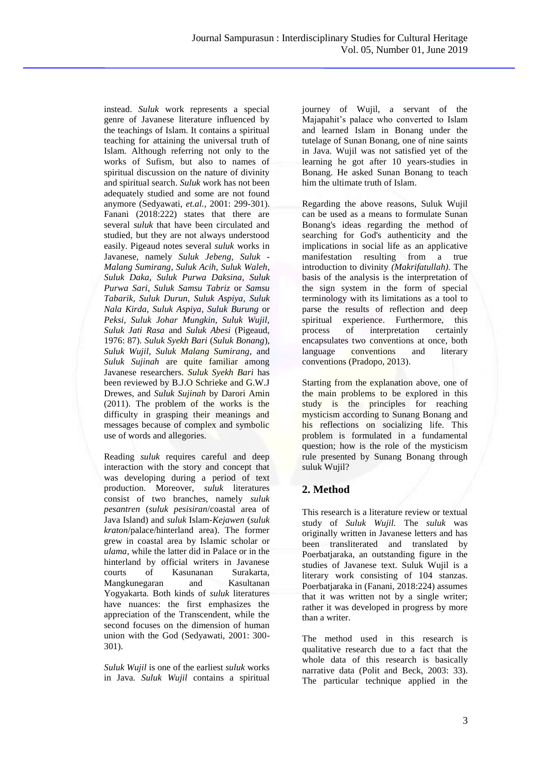instead. *Suluk* work represents a special genre of Javanese literature influenced by the teachings of Islam. It contains a spiritual teaching for attaining the universal truth of Islam. Although referring not only to the works of Sufism, but also to names of spiritual discussion on the nature of divinity and spiritual search. *Suluk* work has not been adequately studied and some are not found anymore (Sedyawati, *et.al.,* 2001: 299-301). Fanani (2018:222) states that there are several *suluk* that have been circulated and studied, but they are not always understood easily. Pigeaud notes several *suluk* works in Javanese, namely *Suluk Jebeng*, *Suluk - Malang Sumirang*, *Suluk Acih*, *Suluk Waleh*, *Suluk Daka*, *Suluk Purwa Daksina*, *Suluk Purwa Sari*, *Suluk Samsu Tabriz* or *Samsu Tabarik*, *Suluk Durun*, *Suluk Aspiya*, *Suluk Nala Kirda*, *Suluk Aspiya*, *Suluk Burung* or *Peksi*, *Suluk Johar Mungkin*, *Suluk Wujil*, *Suluk Jati Rasa* and *Suluk Abesi* (Pigeaud, 1976: 87). *Suluk Syekh Bari* (*Suluk Bonang*), *Suluk Wujil*, *Suluk Malang Sumirang*, and *Suluk Sujinah* are quite familiar among Javanese researchers. *Suluk Syekh Bari* has been reviewed by B.J.O Schrieke and G.W.J Drewes, and *Suluk Sujinah* by Darori Amin (2011). The problem of the works is the difficulty in grasping their meanings and messages because of complex and symbolic use of words and allegories.

Reading *suluk* requires careful and deep interaction with the story and concept that was developing during a period of text production. Moreover, *suluk* literatures consist of two branches, namely *suluk pesantren* (*suluk pesisiran*/coastal area of Java Island) and *suluk* Islam-*Kejawen* (*suluk kraton*/palace/hinterland area). The former grew in coastal area by Islamic scholar or *ulama*, while the latter did in Palace or in the hinterland by official writers in Javanese courts of Kasunanan Surakarta, Mangkunegaran and Kasultanan Yogyakarta. Both kinds of *suluk* literatures have nuances: the first emphasizes the appreciation of the Transcendent, while the second focuses on the dimension of human union with the God (Sedyawati, 2001: 300- 301).

*Suluk Wujil* is one of the earliest *suluk* works in Java. *Suluk Wujil* contains a spiritual journey of Wujil, a servant of the Majapahit's palace who converted to Islam and learned Islam in Bonang under the tutelage of Sunan Bonang, one of nine saints in Java. Wujil was not satisfied yet of the learning he got after 10 years-studies in Bonang. He asked Sunan Bonang to teach him the ultimate truth of Islam.

Regarding the above reasons, Suluk Wujil can be used as a means to formulate Sunan Bonang's ideas regarding the method of searching for God's authenticity and the implications in social life as an applicative manifestation resulting from a true introduction to divinity *(Makrifatullah).* The basis of the analysis is the interpretation of the sign system in the form of special terminology with its limitations as a tool to parse the results of reflection and deep spiritual experience. Furthermore, this process of interpretation certainly encapsulates two conventions at once, both language conventions and literary conventions (Pradopo, 2013).

Starting from the explanation above, one of the main problems to be explored in this study is the principles for reaching mysticism according to Sunang Bonang and his reflections on socializing life. This problem is formulated in a fundamental question; how is the role of the mysticism rule presented by Sunang Bonang through suluk Wujil?

# **2. Method**

This research is a literature review or textual study of *Suluk Wujil.* The *suluk* was originally written in Javanese letters and has been transliterated and translated by Poerbatjaraka, an outstanding figure in the studies of Javanese text. Suluk Wujil is a literary work consisting of 104 stanzas. Poerbatjaraka in (Fanani, 2018:224) assumes that it was written not by a single writer; rather it was developed in progress by more than a writer.

The method used in this research is qualitative research due to a fact that the whole data of this research is basically narrative data (Polit and Beck, 2003: 33). The particular technique applied in the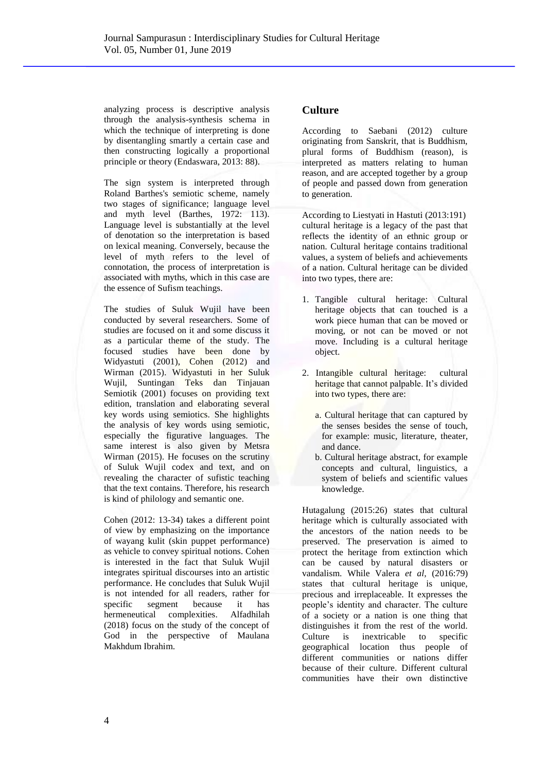analyzing process is descriptive analysis through the analysis-synthesis schema in which the technique of interpreting is done by disentangling smartly a certain case and then constructing logically a proportional principle or theory (Endaswara, 2013: 88).

The sign system is interpreted through Roland Barthes's semiotic scheme, namely two stages of significance; language level and myth level (Barthes, 1972: 113). Language level is substantially at the level of denotation so the interpretation is based on lexical meaning. Conversely, because the level of myth refers to the level of connotation, the process of interpretation is associated with myths, which in this case are the essence of Sufism teachings.

The studies of Suluk Wujil have been conducted by several researchers. Some of studies are focused on it and some discuss it as a particular theme of the study. The focused studies have been done by Widyastuti (2001), Cohen (2012) and Wirman (2015). Widyastuti in her Suluk Wujil, Suntingan Teks dan Tinjauan Semiotik (2001) focuses on providing text edition, translation and elaborating several key words using semiotics. She highlights the analysis of key words using semiotic, especially the figurative languages. The same interest is also given by Metsra Wirman (2015). He focuses on the scrutiny of Suluk Wujil codex and text, and on revealing the character of sufistic teaching that the text contains. Therefore, his research is kind of philology and semantic one.

Cohen (2012: 13-34) takes a different point of view by emphasizing on the importance of wayang kulit (skin puppet performance) as vehicle to convey spiritual notions. Cohen is interested in the fact that Suluk Wujil integrates spiritual discourses into an artistic performance. He concludes that Suluk Wujil is not intended for all readers, rather for specific segment because it has hermeneutical complexities. Alfadhilah (2018) focus on the study of the concept of God in the perspective of Maulana Makhdum Ibrahim.

## **Culture**

According to Saebani (2012) culture originating from Sanskrit, that is Buddhism, plural forms of Buddhism (reason), is interpreted as matters relating to human reason, and are accepted together by a group of people and passed down from generation to generation.

According to Liestyati in Hastuti (2013:191) cultural heritage is a legacy of the past that reflects the identity of an ethnic group or nation. Cultural heritage contains traditional values, a system of beliefs and achievements of a nation. Cultural heritage can be divided into two types, there are:

- 1. Tangible cultural heritage: Cultural heritage objects that can touched is a work piece human that can be moved or moving, or not can be moved or not move. Including is a cultural heritage object.
- 2. Intangible cultural heritage: cultural heritage that cannot palpable. It's divided into two types, there are:
	- a. Cultural heritage that can captured by the senses besides the sense of touch, for example: music, literature, theater, and dance.
	- b. Cultural heritage abstract, for example concepts and cultural, linguistics, a system of beliefs and scientific values knowledge.

Hutagalung (2015:26) states that cultural heritage which is culturally associated with the ancestors of the nation needs to be preserved. The preservation is aimed to protect the heritage from extinction which can be caused by natural disasters or vandalism. While Valera *et al,* (2016:79) states that cultural heritage is unique, precious and irreplaceable. It expresses the people's identity and character. The culture of a society or a nation is one thing that distinguishes it from the rest of the world. Culture is inextricable to specific geographical location thus people of different communities or nations differ because of their culture. Different cultural communities have their own distinctive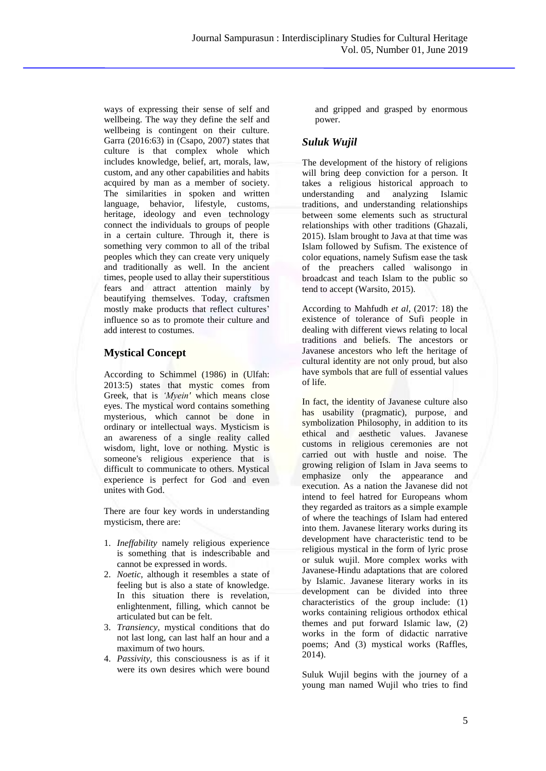ways of expressing their sense of self and wellbeing. The way they define the self and wellbeing is contingent on their culture. Garra (2016:63) in (Csapo, 2007) states that culture is that complex whole which includes knowledge, belief, art, morals, law, custom, and any other capabilities and habits acquired by man as a member of society. The similarities in spoken and written language, behavior, lifestyle, customs, heritage, ideology and even technology connect the individuals to groups of people in a certain culture. Through it, there is something very common to all of the tribal peoples which they can create very uniquely and traditionally as well. In the ancient times, people used to allay their superstitious fears and attract attention mainly by beautifying themselves. Today, craftsmen mostly make products that reflect cultures' influence so as to promote their culture and add interest to costumes.

# **Mystical Concept**

According to Schimmel (1986) in (Ulfah: 2013:5) states that mystic comes from Greek, that is *'Myein'* which means close eyes. The mystical word contains something mysterious, which cannot be done in ordinary or intellectual ways. Mysticism is an awareness of a single reality called wisdom, light, love or nothing. Mystic is someone's religious experience that is difficult to communicate to others. Mystical experience is perfect for God and even unites with God.

There are four key words in understanding mysticism, there are:

- 1. *Ineffability* namely religious experience is something that is indescribable and cannot be expressed in words.
- 2. *Noetic*, although it resembles a state of feeling but is also a state of knowledge. In this situation there is revelation, enlightenment, filling, which cannot be articulated but can be felt.
- 3. *Transiency,* mystical conditions that do not last long, can last half an hour and a maximum of two hours*.*
- 4. *Passivity*, this consciousness is as if it were its own desires which were bound

and gripped and grasped by enormous power.

# *Suluk Wujil*

The development of the history of religions will bring deep conviction for a person. It takes a religious historical approach to understanding and analyzing Islamic traditions, and understanding relationships between some elements such as structural relationships with other traditions (Ghazali, 2015). Islam brought to Java at that time was Islam followed by Sufism. The existence of color equations, namely Sufism ease the task of the preachers called walisongo in broadcast and teach Islam to the public so tend to accept (Warsito, 2015).

According to Mahfudh *et al,* (2017: 18) the existence of tolerance of Sufi people in dealing with different views relating to local traditions and beliefs. The ancestors or Javanese ancestors who left the heritage of cultural identity are not only proud, but also have symbols that are full of essential values of life.

In fact, the identity of Javanese culture also has usability (pragmatic), purpose, and symbolization Philosophy, in addition to its ethical and aesthetic values. Javanese customs in religious ceremonies are not carried out with hustle and noise. The growing religion of Islam in Java seems to emphasize only the appearance and execution. As a nation the Javanese did not intend to feel hatred for Europeans whom they regarded as traitors as a simple example of where the teachings of Islam had entered into them. Javanese literary works during its development have characteristic tend to be religious mystical in the form of lyric prose or suluk wujil. More complex works with Javanese-Hindu adaptations that are colored by Islamic. Javanese literary works in its development can be divided into three characteristics of the group include: (1) works containing religious orthodox ethical themes and put forward Islamic law, (2) works in the form of didactic narrative poems; And (3) mystical works (Raffles, 2014).

Suluk Wujil begins with the journey of a young man named Wujil who tries to find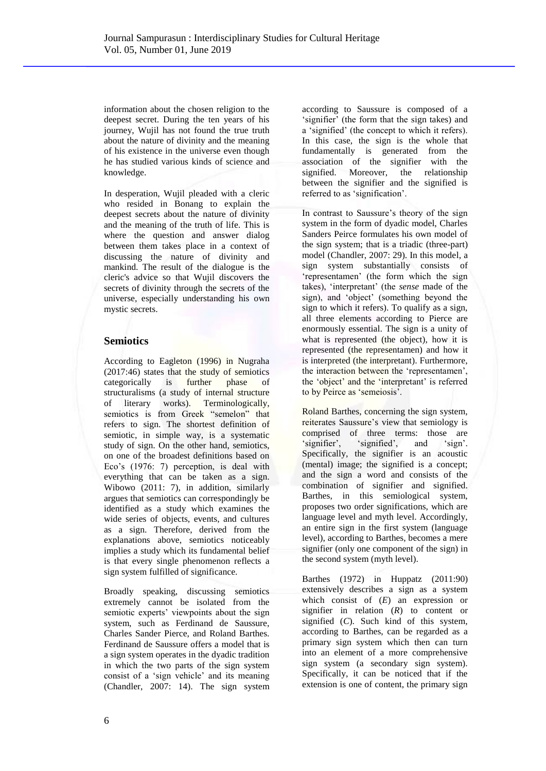information about the chosen religion to the deepest secret. During the ten years of his journey, Wujil has not found the true truth about the nature of divinity and the meaning of his existence in the universe even though he has studied various kinds of science and knowledge.

In desperation, Wujil pleaded with a cleric who resided in Bonang to explain the deepest secrets about the nature of divinity and the meaning of the truth of life. This is where the question and answer dialog between them takes place in a context of discussing the nature of divinity and mankind. The result of the dialogue is the cleric's advice so that Wujil discovers the secrets of divinity through the secrets of the universe, especially understanding his own mystic secrets.

## **Semiotics**

According to Eagleton (1996) in Nugraha (2017:46) states that the study of semiotics categorically is further phase of structuralisms (a study of internal structure of literary works). Terminologically, semiotics is from Greek "semelon" that refers to sign. The shortest definition of semiotic, in simple way, is a systematic study of sign. On the other hand, semiotics, on one of the broadest definitions based on Eco's (1976: 7) perception, is deal with everything that can be taken as a sign. Wibowo (2011: 7), in addition, similarly argues that semiotics can correspondingly be identified as a study which examines the wide series of objects, events, and cultures as a sign. Therefore, derived from the explanations above, semiotics noticeably implies a study which its fundamental belief is that every single phenomenon reflects a sign system fulfilled of significance.

Broadly speaking, discussing semiotics extremely cannot be isolated from the semiotic experts' viewpoints about the sign system, such as Ferdinand de Saussure, Charles Sander Pierce, and Roland Barthes. Ferdinand de Saussure offers a model that is a sign system operates in the dyadic tradition in which the two parts of the sign system consist of a 'sign vehicle' and its meaning (Chandler, 2007: 14). The sign system

according to Saussure is composed of a 'signifier' (the form that the sign takes) and a 'signified' (the concept to which it refers). In this case, the sign is the whole that fundamentally is generated from the association of the signifier with the signified. Moreover, the relationship between the signifier and the signified is referred to as 'signification'.

In contrast to Saussure's theory of the sign system in the form of dyadic model, Charles Sanders Peirce formulates his own model of the sign system; that is a triadic (three-part) model (Chandler, 2007: 29). In this model, a sign system substantially consists of 'representamen' (the form which the sign takes), 'interpretant' (the *sense* made of the sign), and 'object' (something beyond the sign to which it refers). To qualify as a sign, all three elements according to Pierce are enormously essential. The sign is a unity of what is represented (the object), how it is represented (the representamen) and how it is interpreted (the interpretant). Furthermore, the interaction between the 'representamen', the 'object' and the 'interpretant' is referred to by Peirce as 'semeiosis'.

Roland Barthes, concerning the sign system, reiterates Saussure's view that semiology is comprised of three terms: those are<br>
'signifier', 'signified', and 'sign'. 'signifier', 'signified', and 'sign'. Specifically, the signifier is an acoustic (mental) image; the signified is a concept; and the sign a word and consists of the combination of signifier and signified. Barthes, in this semiological system, proposes two order significations, which are language level and myth level. Accordingly, an entire sign in the first system (language level), according to Barthes, becomes a mere signifier (only one component of the sign) in the second system (myth level).

Barthes (1972) in Huppatz (2011:90) extensively describes a sign as a system which consist of (*E*) an expression or signifier in relation (*R*) to content or signified (*C*). Such kind of this system, according to Barthes, can be regarded as a primary sign system which then can turn into an element of a more comprehensive sign system (a secondary sign system). Specifically, it can be noticed that if the extension is one of content, the primary sign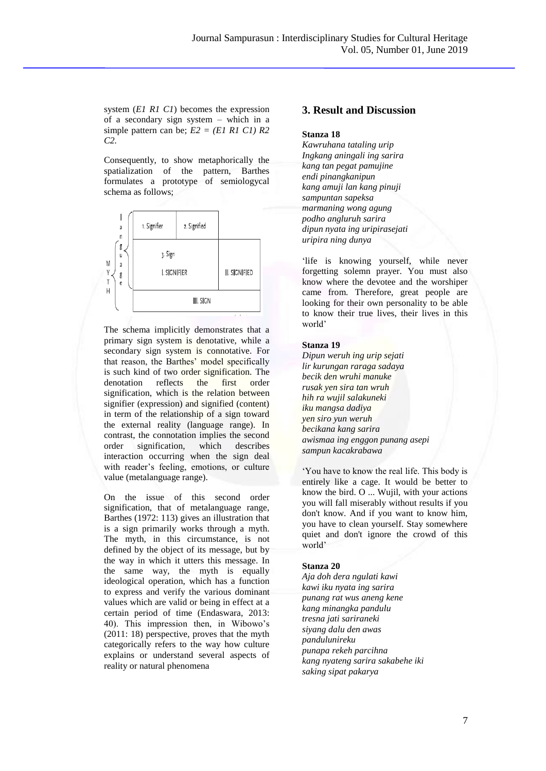system (*E1 R1 C1*) becomes the expression of a secondary sign system – which in a simple pattern can be;  $E2 = (E1 \, R1 \, C1) R2$ *C2.* 

Consequently, to show metaphorically the spatialization of the pattern, Barthes formulates a prototype of semiologycal schema as follows;



The schema implicitly demonstrates that a primary sign system is denotative, while a secondary sign system is connotative. For that reason, the Barthes' model specifically is such kind of two order signification. The denotation reflects the first order signification, which is the relation between signifier (expression) and signified (content) in term of the relationship of a sign toward the external reality (language range). In contrast, the connotation implies the second order signification, which describes interaction occurring when the sign deal with reader's feeling, emotions, or culture value (metalanguage range).

On the issue of this second order signification, that of metalanguage range, Barthes (1972: 113) gives an illustration that is a sign primarily works through a myth. The myth, in this circumstance, is not defined by the object of its message, but by the way in which it utters this message. In the same way, the myth is equally ideological operation, which has a function to express and verify the various dominant values which are valid or being in effect at a certain period of time (Endaswara, 2013: 40). This impression then, in Wibowo's (2011: 18) perspective, proves that the myth categorically refers to the way how culture explains or understand several aspects of reality or natural phenomena

## **3. Result and Discussion**

#### **Stanza 18**

*Kawruhana tataling urip Ingkang aningali ing sarira kang tan pegat pamujine endi pinangkanipun kang amuji lan kang pinuji sampuntan sapeksa marmaning wong agung podho angluruh sarira dipun nyata ing uripirasejati uripira ning dunya* 

'life is knowing yourself, while never forgetting solemn prayer. You must also know where the devotee and the worshiper came from. Therefore, great people are looking for their own personality to be able to know their true lives, their lives in this world'

#### **Stanza 19**

*Dipun weruh ing urip sejati lir kurungan raraga sadaya becik den wruhi manuke rusak yen sira tan wruh hih ra wujil salakuneki iku mangsa dadiya yen siro yun weruh becikana kang sarira awismaa ing enggon punang asepi sampun kacakrabawa* 

'You have to know the real life. This body is entirely like a cage. It would be better to know the bird. O ... Wujil, with your actions you will fall miserably without results if you don't know. And if you want to know him, you have to clean yourself. Stay somewhere quiet and don't ignore the crowd of this world'

#### **Stanza 20**

*Aja doh dera ngulati kawi kawi iku nyata ing sarira punang rat wus aneng kene kang minangka pandulu tresna jati sariraneki siyang dalu den awas pandulunireku punapa rekeh parcihna kang nyateng sarira sakabehe iki saking sipat pakarya*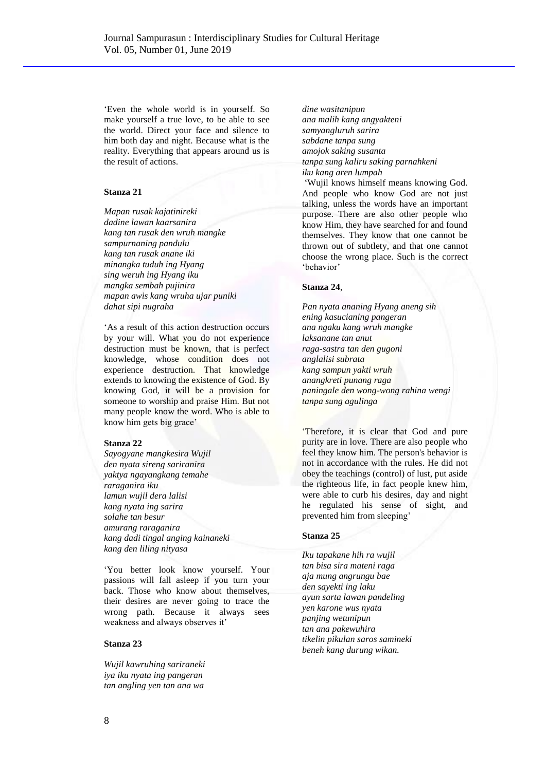'Even the whole world is in yourself. So make yourself a true love, to be able to see the world. Direct your face and silence to him both day and night. Because what is the reality. Everything that appears around us is the result of actions.

#### **Stanza 21**

*Mapan rusak kajatinireki dadine lawan kaarsanira kang tan rusak den wruh mangke sampurnaning pandulu kang tan rusak anane iki minangka tuduh ing Hyang sing weruh ing Hyang iku mangka sembah pujinira mapan awis kang wruha ujar puniki dahat sipi nugraha* 

'As a result of this action destruction occurs by your will. What you do not experience destruction must be known, that is perfect knowledge, whose condition does not experience destruction. That knowledge extends to knowing the existence of God. By knowing God, it will be a provision for someone to worship and praise Him. But not many people know the word. Who is able to know him gets big grace'

### **Stanza 22**

*Sayogyane mangkesira Wujil den nyata sireng sariranira yaktya ngayangkang temahe raraganira iku lamun wujil dera lalisi kang nyata ing sarira solahe tan besur amurang raraganira kang dadi tingal anging kainaneki kang den liling nityasa* 

'You better look know yourself. Your passions will fall asleep if you turn your back. Those who know about themselves, their desires are never going to trace the wrong path. Because it always sees weakness and always observes it'

### **Stanza 23**

*Wujil kawruhing sariraneki iya iku nyata ing pangeran tan angling yen tan ana wa* 

*dine wasitanipun ana malih kang angyakteni samyangluruh sarira sabdane tanpa sung amojok saking susanta tanpa sung kaliru saking parnahkeni iku kang aren lumpah* 

'Wujil knows himself means knowing God. And people who know God are not just talking, unless the words have an important purpose. There are also other people who know Him, they have searched for and found themselves. They know that one cannot be thrown out of subtlety, and that one cannot choose the wrong place. Such is the correct 'behavior'

#### **Stanza 24**,

*Pan nyata ananing Hyang aneng sih ening kasucianing pangeran ana ngaku kang wruh mangke laksanane tan anut raga-sastra tan den gugoni anglalisi subrata kang sampun yakti wruh anangkreti punang raga paningale den wong-wong rahina wengi tanpa sung agulinga* 

'Therefore, it is clear that God and pure purity are in love. There are also people who feel they know him. The person's behavior is not in accordance with the rules. He did not obey the teachings (control) of lust, put aside the righteous life, in fact people knew him, were able to curb his desires, day and night he regulated his sense of sight, and prevented him from sleeping'

#### **Stanza 25**

*Iku tapakane hih ra wujil tan bisa sira mateni raga aja mung angrungu bae den sayekti ing laku ayun sarta lawan pandeling yen karone wus nyata panjing wetunipun tan ana pakewuhira tikelin pikulan saros samineki beneh kang durung wikan.*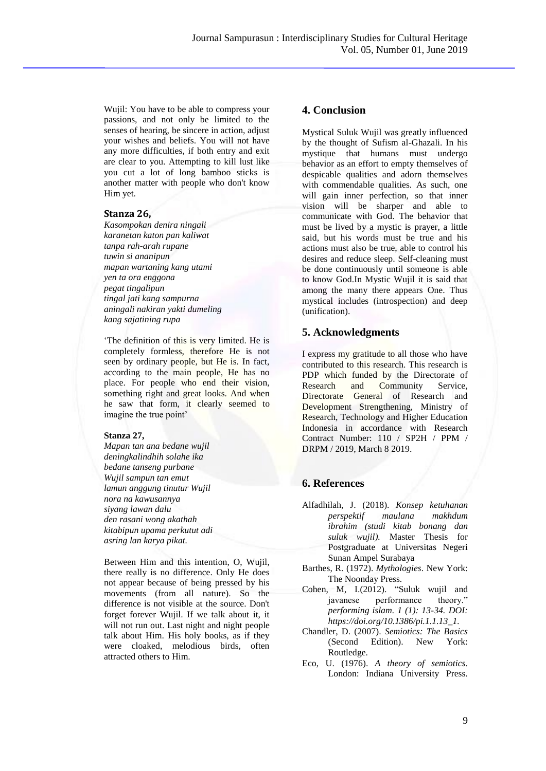Wujil: You have to be able to compress your passions, and not only be limited to the senses of hearing, be sincere in action, adjust your wishes and beliefs. You will not have any more difficulties, if both entry and exit are clear to you. Attempting to kill lust like you cut a lot of long bamboo sticks is another matter with people who don't know Him yet.

### **Stanza 26,**

*Kasompokan denira ningali karanetan katon pan kaliwat tanpa rah-arah rupane tuwin si ananipun mapan wartaning kang utami yen ta ora enggona pegat tingalipun tingal jati kang sampurna aningali nakiran yakti dumeling kang sajatining rupa* 

'The definition of this is very limited. He is completely formless, therefore He is not seen by ordinary people, but He is. In fact, according to the main people, He has no place. For people who end their vision, something right and great looks. And when he saw that form, it clearly seemed to imagine the true point'

### **Stanza 27,**

*Mapan tan ana bedane wujil deningkalindhih solahe ika bedane tanseng purbane Wujil sampun tan emut lamun anggung tinutur Wujil nora na kawusannya siyang lawan dalu den rasani wong akathah kitabipun upama perkutut adi asring lan karya pikat.* 

Between Him and this intention, O, Wujil, there really is no difference. Only He does not appear because of being pressed by his movements (from all nature). So the difference is not visible at the source. Don't forget forever Wujil. If we talk about it, it will not run out. Last night and night people talk about Him. His holy books, as if they were cloaked, melodious birds, often attracted others to Him.

## **4. Conclusion**

Mystical Suluk Wujil was greatly influenced by the thought of Sufism al-Ghazali. In his mystique that humans must undergo behavior as an effort to empty themselves of despicable qualities and adorn themselves with commendable qualities. As such, one will gain inner perfection, so that inner vision will be sharper and able to communicate with God. The behavior that must be lived by a mystic is prayer, a little said, but his words must be true and his actions must also be true, able to control his desires and reduce sleep. Self-cleaning must be done continuously until someone is able to know God.In Mystic Wujil it is said that among the many there appears One. Thus mystical includes (introspection) and deep (unification).

## **5. Acknowledgments**

I express my gratitude to all those who have contributed to this research. This research is PDP which funded by the Directorate of Research and Community Service, Directorate General of Research and Development Strengthening, Ministry of Research, Technology and Higher Education Indonesia in accordance with Research Contract Number: 110 / SP2H / PPM / DRPM / 2019, March 8 2019.

## **6. References**

- Alfadhilah, J. (2018). *Konsep ketuhanan perspektif maulana makhdum ibrahim (studi kitab bonang dan suluk wujil).* Master Thesis for Postgraduate at Universitas Negeri Sunan Ampel Surabaya
- Barthes, R. (1972). *Mythologies*. New York: The Noonday Press.
- Cohen, M, I.(2012). "Suluk wujil and javanese performance theory." *performing islam. 1 (1): 13-34. DOI: https://doi.org/10.1386/pi.1.1.13\_1.*
- Chandler, D. (2007). *Semiotics: The Basics*  (Second Edition). New York: Routledge.
- Eco, U. (1976). *A theory of semiotics*. London: Indiana University Press.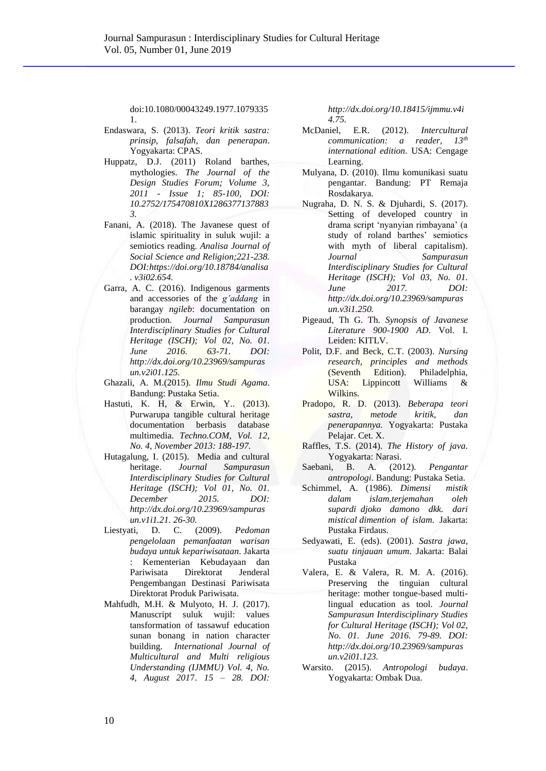doi:10.1080/00043249.1977.1079335 1.

- Endaswara, S. (2013). *Teori kritik sastra: prinsip, falsafah, dan penerapan*. Yogyakarta: CPAS.
- Huppatz, D.J. (2011) Roland barthes, mythologies. *The Journal of the Design Studies Forum; Volume 3, 2011 - Issue 1; 85-100, DOI: 10.2752/175470810X1286377137883 3.*
- Fanani, A. (2018). The Javanese quest of islamic spirituality in suluk wujil: a semiotics reading. *Analisa Journal of Social Science and Religion;221-238. DOI:https://doi.org/10.18784/analisa . v3i02.654.*
- Garra, A. C. (2016). Indigenous garments and accessories of the *g'addang* in barangay *ngileb*: documentation on production. *Journal Sampurasun Interdisciplinary Studies for Cultural Heritage (ISCH); Vol 02, No. 01. June 2016. 63-71. DOI: http://dx.doi.org/10.23969/sampuras un.v2i01.125.*
- Ghazali, A. M.(2015). *Ilmu Studi Agama*. Bandung: Pustaka Setia.
- Hastuti, K. H, & Erwin, Y.. (2013). Purwarupa tangible cultural heritage documentation berbasis database multimedia. *Techno.COM, Vol. 12, No. 4, November 2013: 188-197.*
- Hutagalung, I. (2015). Media and cultural heritage. *Journal Sampurasun Interdisciplinary Studies for Cultural Heritage (ISCH); Vol 01, No. 01. December 2015. DOI: [http://dx.doi.org/10.23969/sampuras](http://dx.doi.org/10.23969/sampurasun.v1i1.21) [un.v1i1.21.](http://dx.doi.org/10.23969/sampurasun.v1i1.21) 26-30.*
- Liestyati, D. C. (2009). *Pedoman pengelolaan pemanfaatan warisan budaya untuk kepariwisataan*. Jakarta : Kementerian Kebudayaan dan Pariwisata Direktorat Jenderal Pengembangan Destinasi Pariwisata Direktorat Produk Pariwisata.
- Mahfudh, M.H. & Mulyoto, H. J. (2017). Manuscript suluk wujil: values tansformation of tassawuf education sunan bonang in nation character building. *International Journal of Multicultural and Multi religious Understanding (IJMMU) Vol. 4, No. 4, August 201*7. *15 – 28. DOI:*

*http://dx.doi.org/10.18415/ijmmu.v4i 4.75.*

- McDaniel, E.R. (2012). *Intercultural communication: a reader, 13th international edition.* USA: Cengage Learning.
- Mulyana, D. (2010). Ilmu komunikasi suatu pengantar. Bandung: PT Remaja Rosdakarya.
- Nugraha, D. N. S. & Djuhardi, S. (2017). Setting of developed country in drama script 'nyanyian rimbayana' (a study of roland barthes' semiotics with myth of liberal capitalism). *Journal Sampurasun Interdisciplinary Studies for Cultural Heritage (ISCH); Vol 03, No. 01. June 2017. DOI: http://dx.doi.org/10.23969/sampuras un.v3i1.250.*
- Pigeaud, Th G. Th. *Synopsis of Javanese Literature 900-1900 AD*. Vol. I. Leiden: KITLV.
- Polit, D.F. and Beck, C.T. (2003). *Nursing research, principles and methods*  (Seventh Edition). Philadelphia, USA: Lippincott Williams & Wilkins.
- Pradopo, R. D. (2013). *Beberapa teori sastra, metode kritik, dan penerapannya.* Yogyakarta: Pustaka Pelajar. Cet. X.
- Raffles, T.S. (2014). *The History of java*. Yogyakarta: Narasi.
- Saebani, B. A. (2012). *Pengantar antropologi*. Bandung: Pustaka Setia.
- Schimmel, A. (1986). *Dimensi mistik dalam islam,terjemahan oleh supardi djoko damono dkk. dari mistical dimention of islam.* Jakarta: Pustaka Firdaus.
- Sedyawati, E. (eds). (2001). *Sastra jawa, suatu tinjauan umum*. Jakarta: Balai Pustaka
- Valera, E. & Valera, R. M. A. (2016). Preserving the tinguian cultural heritage: mother tongue-based multilingual education as tool*. Journal Sampurasun Interdisciplinary Studies for Cultural Heritage (ISCH); Vol 02, No. 01. June 2016. 79-89. DOI: http://dx.doi.org/10.23969/sampuras un.v2i01.123.*
- Warsito. (2015). *Antropologi budaya*. Yogyakarta: Ombak Dua.